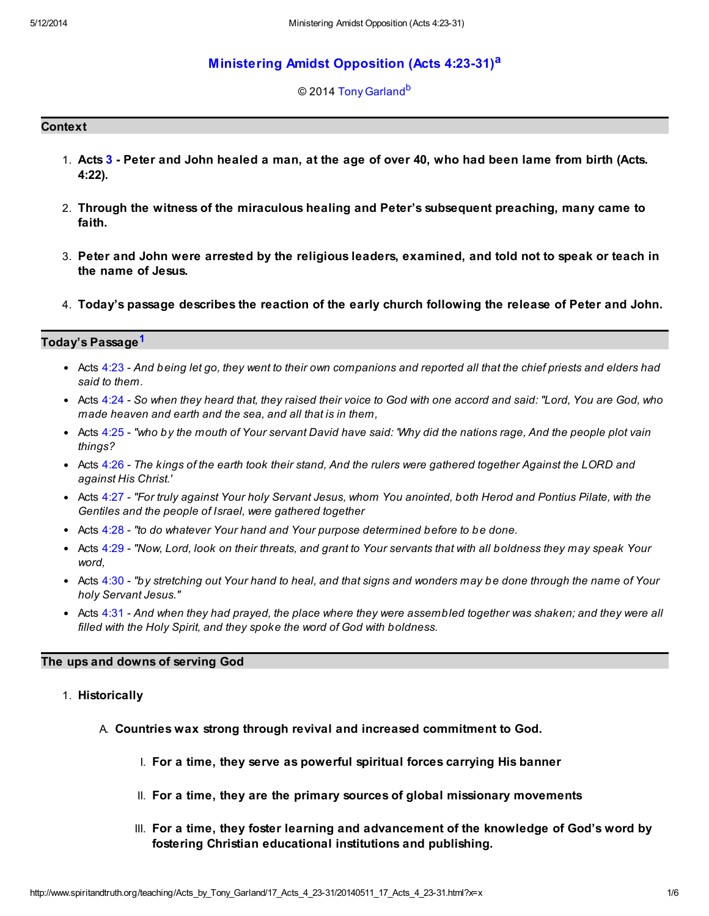# [Ministering Amidst Opposition \(Acts 4:23-31\)](http://www.spiritandtruth.org/teaching/Acts_by_Tony_Garland/17_Acts_4_23-31/index.htm)[a](#page-5-0)

### <span id="page-0-2"></span><span id="page-0-1"></span>© 2014 [Tony Garland](http://www.spiritandtruth.org/id/tg.htm)<sup>[b](#page-5-1)</sup>

### **Context**

- 1. Acts [3](http://www.spiritandtruth.org/bibles/nasb/b44c003.htm#Acts_C3V1) Peter and John healed a man, at the age of over 40, who had been lame from birth (Acts. 4:22).
- 2. Through the witness of the miraculous healing and Peter's subsequent preaching, many came to faith.
- 3. Peter and John were arrested by the religious leaders, examined, and told not to speak or teach in the name of Jesus.
- 4. Today's passage describes the reaction of the early church following the release of Peter and John.

## Today's Passage<sup>[1](#page-5-2)</sup>

- <span id="page-0-0"></span>Acts  $4:23$  - And being let go, they went to their own companions and reported all that the chief priests and elders had said to them.
- Acts [4:24](http://www.spiritandtruth.org/bibles/nasb/b44c004.htm#Acts_C4V24) So when they heard that, they raised their voice to God with one accord and said: "Lord, You are God, who made heaven and earth and the sea, and all that is in them,
- Acts [4:25](http://www.spiritandtruth.org/bibles/nasb/b44c004.htm#Acts_C4V25) "who by the mouth of Your servant David have said: 'Why did the nations rage, And the people plot vain things?
- Acts [4:26](http://www.spiritandtruth.org/bibles/nasb/b44c004.htm#Acts_C4V26) The kings of the earth took their stand, And the rulers were gathered together Against the LORD and against His Christ.'
- Acts [4:27](http://www.spiritandtruth.org/bibles/nasb/b44c004.htm#Acts_C4V27) "For truly against Your holy Servant Jesus, whom You anointed, both Herod and Pontius Pilate, with the Gentiles and the people of Israel, were gathered together
- Acts [4:28](http://www.spiritandtruth.org/bibles/nasb/b44c004.htm#Acts_C4V28) "to do whatever Your hand and Your purpose determined before to be done.
- Acts [4:29](http://www.spiritandtruth.org/bibles/nasb/b44c004.htm#Acts_C4V29) "Now, Lord, look on their threats, and grant to Your servants that with all boldness they may speak Your word,
- Acts [4:30](http://www.spiritandtruth.org/bibles/nasb/b44c004.htm#Acts_C4V30) "by stretching out Your hand to heal, and that signs and wonders may be done through the name of Your holy Servant Jesus."
- Acts  $4:31$  And when they had prayed, the place where they were assembled together was shaken; and they were all filled with the Holy Spirit, and they spoke the word of God with boldness.

#### The ups and downs of serving God

#### 1. Historically

- A. Countries wax strong through revival and increased commitment to God.
	- I. For a time, they serve as powerful spiritual forces carrying His banner
	- II. For a time, they are the primary sources of global missionary movements
	- III. For a time, they foster learning and advancement of the knowledge of God's word by fostering Christian educational institutions and publishing.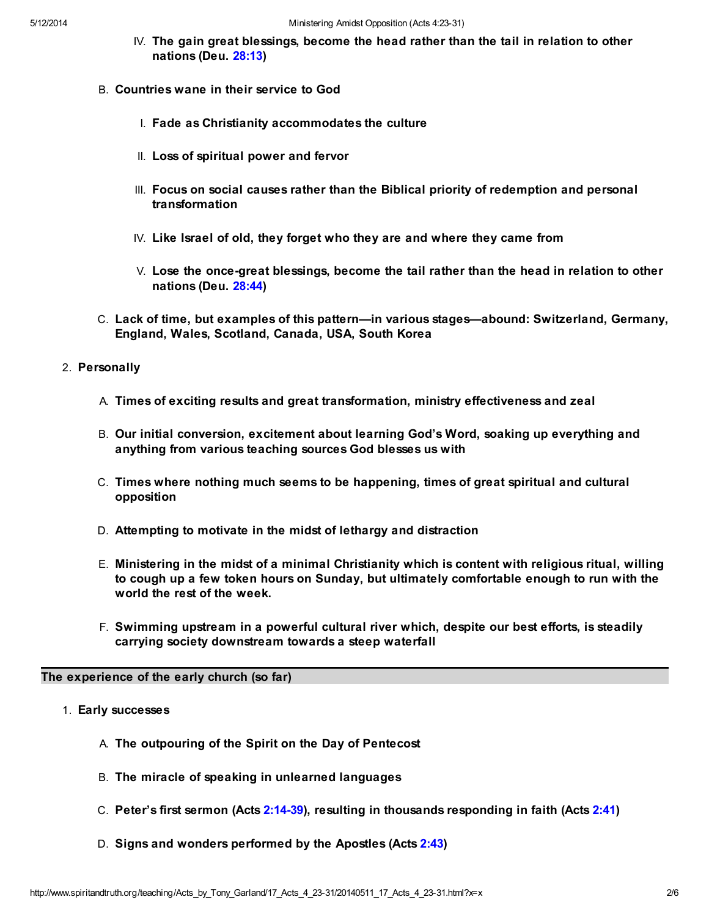- IV. The gain great blessings, become the head rather than the tail in relation to other nations (Deu. [28:13\)](http://www.spiritandtruth.org/bibles/nasb/b05c028.htm#Deu._C28V13)
- B. Countries wane in their service to God
	- I. Fade as Christianity accommodates the culture
	- II. Loss of spiritual power and fervor
	- III. Focus on social causes rather than the Biblical priority of redemption and personal transformation
	- IV. Like Israel of old, they forget who they are and where they came from
	- V. Lose the once-great blessings, become the tail rather than the head in relation to other nations (Deu. [28:44\)](http://www.spiritandtruth.org/bibles/nasb/b05c028.htm#Deu._C28V44)
- C. Lack of time, but examples of this pattern—in various stages—abound: Switzerland, Germany, England, Wales, Scotland, Canada, USA, South Korea

#### 2. Personally

- A. Times of exciting results and great transformation, ministry effectiveness and zeal
- B. Our initial conversion, excitement about learning God's Word, soaking up everything and anything from various teaching sources God blesses us with
- C. Times where nothing much seems to be happening, times of great spiritual and cultural opposition
- D. Attempting to motivate in the midst of lethargy and distraction
- E. Ministering in the midst of a minimal Christianity which is content with religious ritual, willing to cough up a few token hours on Sunday, but ultimately comfortable enough to run with the world the rest of the week.
- F. Swimming upstream in a powerful cultural river which, despite our best efforts, is steadily carrying society downstream towards a steep waterfall

### The experience of the early church (so far)

- 1. Early successes
	- A. The outpouring of the Spirit on the Day of Pentecost
	- B. The miracle of speaking in unlearned languages
	- C. Peter's first sermon (Acts [2:14-39](http://www.spiritandtruth.org/bibles/nasb/b44c002.htm#Acts_C2V14)), resulting in thousands responding in faith (Acts [2:41\)](http://www.spiritandtruth.org/bibles/nasb/b44c002.htm#Acts_C2V41)
	- D. Signs and wonders performed by the Apostles (Acts [2:43\)](http://www.spiritandtruth.org/bibles/nasb/b44c002.htm#Acts_C2V43)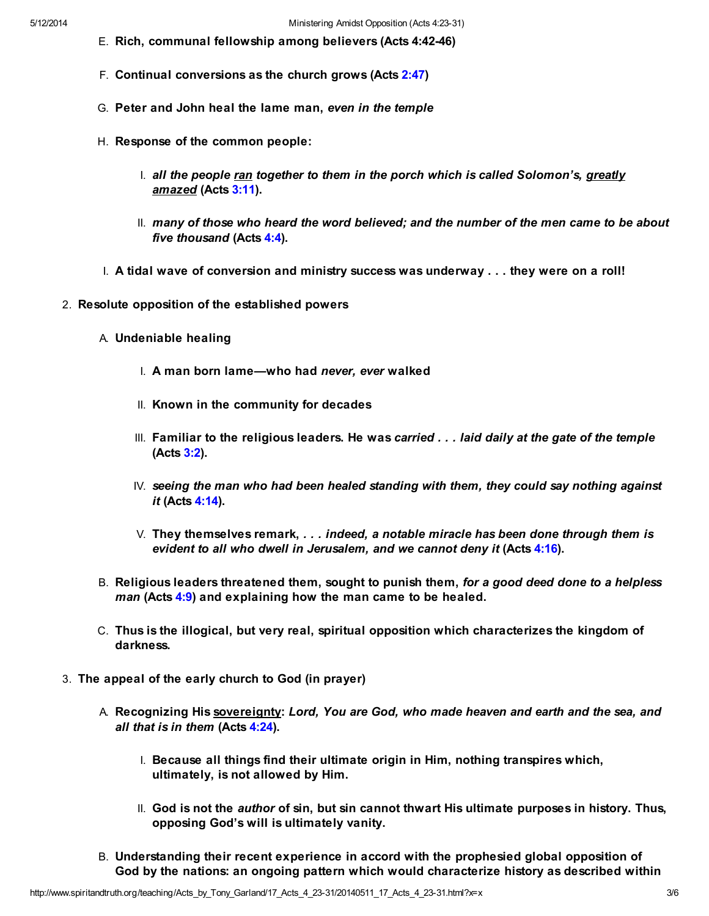- E. Rich, communal fellowship among believers (Acts 4:42-46)
- F. Continual conversions as the church grows (Acts [2:47\)](http://www.spiritandtruth.org/bibles/nasb/b44c002.htm#Acts_C2V47)
- G. Peter and John heal the lame man, even in the temple
- H. Response of the common people:
	- $\blacksquare$  all the people ran together to them in the porch which is called Solomon's, greatly amazed (Acts [3:11](http://www.spiritandtruth.org/bibles/nasb/b44c003.htm#Acts_C3V11)).
	- II. many of those who heard the word believed; and the number of the men came to be about five thousand (Acts [4:4\)](http://www.spiritandtruth.org/bibles/nasb/b44c004.htm#Acts_C4V4).
- I. A tidal wave of conversion and ministry success was underway . . . they were on a roll!
- 2. Resolute opposition of the established powers
	- A. Undeniable healing
		- I. A man born lame—who had never, ever walked
		- II. Known in the community for decades
		- III. Familiar to the religious leaders. He was carried . . . laid daily at the gate of the temple (Acts [3:2](http://www.spiritandtruth.org/bibles/nasb/b44c003.htm#Acts_C3V2)).
		- $IV.$  seeing the man who had been healed standing with them, they could say nothing against it (Acts [4:14](http://www.spiritandtruth.org/bibles/nasb/b44c004.htm#Acts_C4V14)).
		- $V.$  They themselves remark,  $\ldots$  indeed, a notable miracle has been done through them is evident to all who dwell in Jerusalem, and we cannot deny it (Acts [4:16](http://www.spiritandtruth.org/bibles/nasb/b44c004.htm#Acts_C4V16)).
	- B. Religious leaders threatened them, sought to punish them, for a good deed done to a helpless man (Acts [4:9\)](http://www.spiritandtruth.org/bibles/nasb/b44c004.htm#Acts_C4V9) and explaining how the man came to be healed.
	- C. Thus is the illogical, but very real, spiritual opposition which characterizes the kingdom of darkness.
- 3. The appeal of the early church to God (in prayer)
	- A. Recognizing His sovereignty: Lord, You are God, who made heaven and earth and the sea, and all that is in them (Acts [4:24\)](http://www.spiritandtruth.org/bibles/nasb/b44c004.htm#Acts_C4V24).
		- I. Because all things find their ultimate origin in Him, nothing transpires which, ultimately, is not allowed by Him.
		- II. God is not the *author* of sin, but sin cannot thwart His ultimate purposes in history. Thus, opposing God's will is ultimately vanity.
	- B. Understanding their recent experience in accord with the prophesied global opposition of God by the nations: an ongoing pattern which would characterize history as described within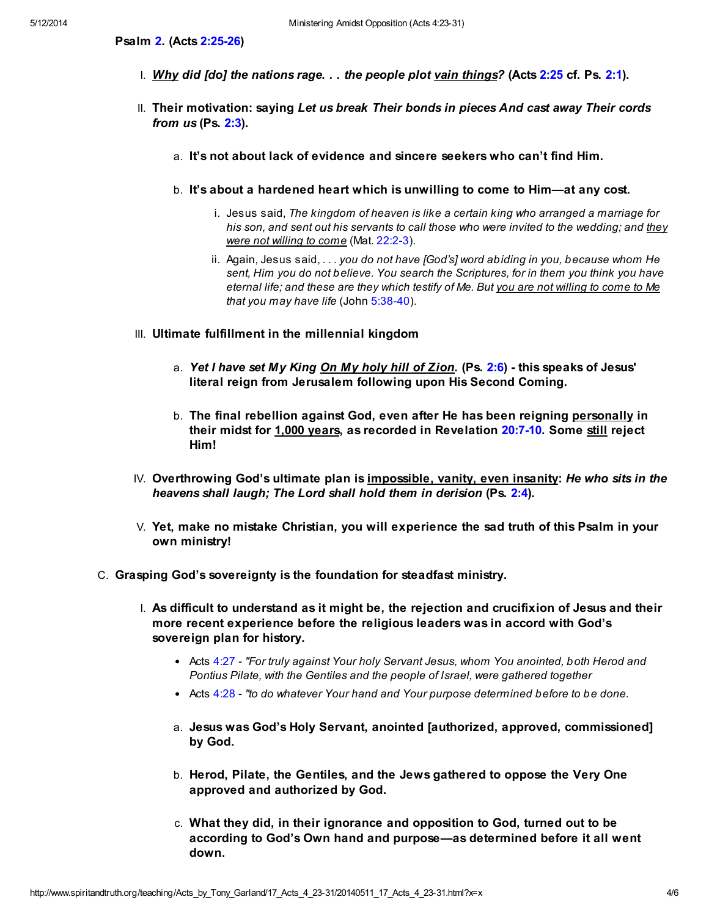Psalm [2.](http://www.spiritandtruth.org/bibles/nasb/b19c002.htm#Ps._C2V1) (Acts [2:25-26\)](http://www.spiritandtruth.org/bibles/nasb/b44c002.htm#Acts_C2V25)

- I. Why did [do] the nations rage. . . the people plot vain things? (Acts [2:25](http://www.spiritandtruth.org/bibles/nasb/b44c002.htm#Acts_C2V25) cf. Ps. [2:1\)](http://www.spiritandtruth.org/bibles/nasb/b19c002.htm#Ps._C2V1).
- II. Their motivation: saying Let us break Their bonds in pieces And cast away Their cords from  $us$  (Ps.  $2:3$ ).
	- a. It's not about lack of evidence and sincere seekers who can't find Him.
	- b. It's about a hardened heart which is unwilling to come to Him—at any cost.
		- i. Jesus said, The kingdom of heaven is like a certain king who arranged a marriage for his son, and sent out his servants to call those who were invited to the wedding; and they were not willing to come (Mat. [22:2-3](http://www.spiritandtruth.org/bibles/nasb/b40c022.htm#Mat._C22V2)).
		- ii. Again, Jesus said,  $\ldots$  you do not have [God's] word abiding in you, because whom He sent, Him you do not believe. You search the Scriptures, for in them you think you have eternal life; and these are they which testify of Me. But you are not willing to come to Me that you may have life (John [5:38-40](http://www.spiritandtruth.org/bibles/nasb/b43c005.htm#John_C5V38)).
- III. Ultimate fulfillment in the millennial kingdom
	- a. Yet I have set My King On My holy hill of Zion. (Ps. [2:6](http://www.spiritandtruth.org/bibles/nasb/b19c002.htm#Ps._C2V6)) this speaks of Jesus' literal reign from Jerusalem following upon His Second Coming.
	- b. The final rebellion against God, even after He has been reigning personally in their midst for 1,000 years, as recorded in Revelation [20:7-10.](http://www.spiritandtruth.org/bibles/nasb/b66c020.htm#Rev._C20V7) Some still reject Him!
- IV. Overthrowing God's ultimate plan is impossible, vanity, even insanity: He who sits in the heavens shall laugh; The Lord shall hold them in derision (Ps. [2:4\)](http://www.spiritandtruth.org/bibles/nasb/b19c002.htm#Ps._C2V4).
- V. Yet, make no mistake Christian, you will experience the sad truth of this Psalm in your own ministry!
- C. Grasping God's sovereignty is the foundation for steadfast ministry.
	- I. As difficult to understand as it might be, the rejection and crucifixion of Jesus and their more recent experience before the religious leaders was in accord with God's sovereign plan for history.
		- Acts [4:27](http://www.spiritandtruth.org/bibles/nasb/b44c004.htm#Acts_C4V27)  "For truly against Your holy Servant Jesus, whom You anointed, both Herod and Pontius Pilate, with the Gentiles and the people of Israel, were gathered together
		- Acts [4:28](http://www.spiritandtruth.org/bibles/nasb/b44c004.htm#Acts_C4V28)  "to do whatever Your hand and Your purpose determined before to be done.
		- a. Jesus was God's Holy Servant, anointed [authorized, approved, commissioned] by God.
		- b. Herod, Pilate, the Gentiles, and the Jews gathered to oppose the Very One approved and authorized by God.
		- c. What they did, in their ignorance and opposition to God, turned out to be according to God's Own hand and purpose—as determined before it all went down.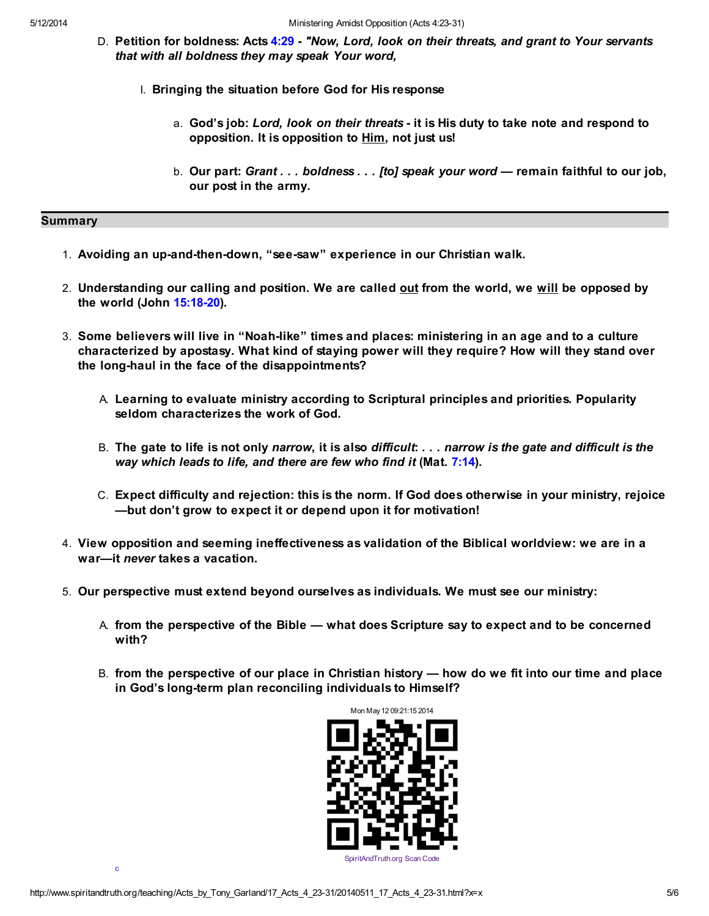- D. Petition for boldness: Acts [4:29](http://www.spiritandtruth.org/bibles/nasb/b44c004.htm#Acts_C4V29) "Now, Lord, look on their threats, and grant to Your servants that with all boldness they may speak Your word,
	- I. Bringing the situation before God for His response
		- a. God's job: Lord, look on their threats it is His duty to take note and respond to opposition. It is opposition to Him, not just us!
		- b. Our part: Grant . . . boldness . . . [to] speak your word remain faithful to our job, our post in the army.

## **Summary**

- 1. Avoiding an up-and-then-down, "see-saw" experience in our Christian walk.
- 2. Understanding our calling and position. We are called out from the world, we will be opposed by the world (John [15:18-20\)](http://www.spiritandtruth.org/bibles/nasb/b43c015.htm#John_C15V18).
- 3. Some believers will live in "Noah-like" times and places: ministering in an age and to a culture characterized by apostasy. What kind of staying power will they require? How will they stand over the long-haul in the face of the disappointments?
	- A. Learning to evaluate ministry according to Scriptural principles and priorities. Popularity seldom characterizes the work of God.
	- B. The gate to life is not only narrow, it is also difficult: . . . narrow is the gate and difficult is the way which leads to life, and there are few who find it (Mat. [7:14](http://www.spiritandtruth.org/bibles/nasb/b40c007.htm#Mat._C7V14)).
	- C. Expect difficulty and rejection: this is the norm. If God does otherwise in your ministry, rejoice —but don't grow to expect it or depend upon it for motivation!
- 4. View opposition and seeming ineffectiveness as validation of the Biblical worldview: we are in a war—it never takes a vacation.
- 5. Our perspective must extend beyond ourselves as individuals. We must see our ministry:
	- A. from the perspective of the Bible what does Scripture say to expect and to be concerned with?
	- B. from the perspective of our place in Christian history how do we fit into our time and place in God's long-term plan reconciling individuals to Himself?



<span id="page-4-0"></span>[c](#page-5-3)